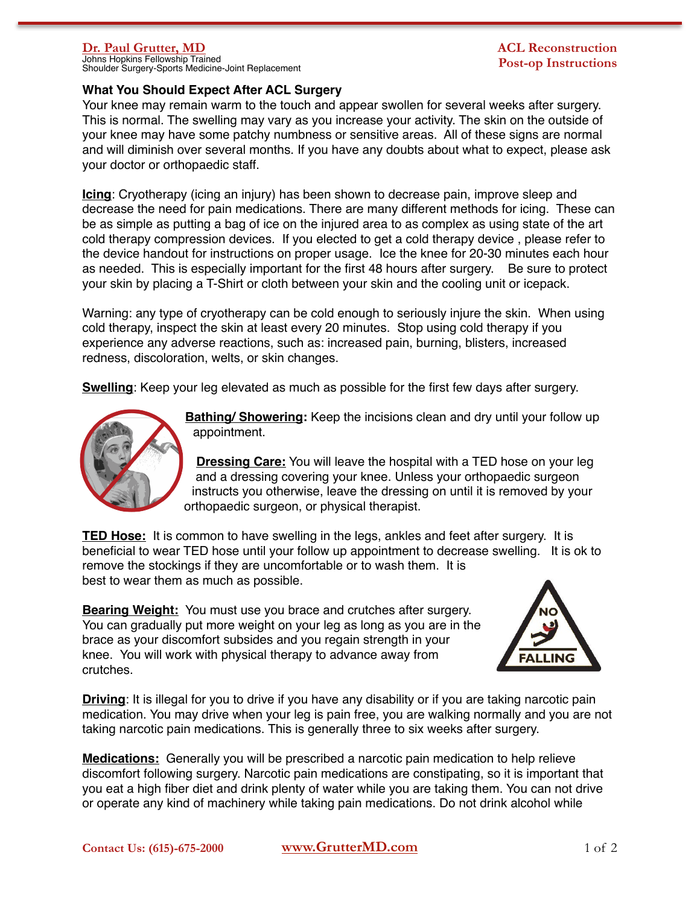Johns Hopkins Fellowship Trained Shoulder Surgery-Sports Medicine-Joint Replacement

## **What You Should Expect After ACL Surgery**

Your knee may remain warm to the touch and appear swollen for several weeks after surgery. This is normal. The swelling may vary as you increase your activity. The skin on the outside of your knee may have some patchy numbness or sensitive areas. All of these signs are normal and will diminish over several months. If you have any doubts about what to expect, please ask your doctor or orthopaedic staff.

**Icing**: Cryotherapy (icing an injury) has been shown to decrease pain, improve sleep and decrease the need for pain medications. There are many different methods for icing. These can be as simple as putting a bag of ice on the injured area to as complex as using state of the art cold therapy compression devices. If you elected to get a cold therapy device , please refer to the device handout for instructions on proper usage. Ice the knee for 20-30 minutes each hour as needed. This is especially important for the first 48 hours after surgery. Be sure to protect your skin by placing a T-Shirt or cloth between your skin and the cooling unit or icepack.

Warning: any type of cryotherapy can be cold enough to seriously injure the skin. When using cold therapy, inspect the skin at least every 20 minutes. Stop using cold therapy if you experience any adverse reactions, such as: increased pain, burning, blisters, increased redness, discoloration, welts, or skin changes.

**Swelling**: Keep your leg elevated as much as possible for the first few days after surgery.



**Bathing/ Showering:** Keep the incisions clean and dry until your follow up appointment.

**Dressing Care:** You will leave the hospital with a TED hose on your leg and a dressing covering your knee. Unless your orthopaedic surgeon instructs you otherwise, leave the dressing on until it is removed by your orthopaedic surgeon, or physical therapist.

**TED Hose:** It is common to have swelling in the legs, ankles and feet after surgery. It is beneficial to wear TED hose until your follow up appointment to decrease swelling. It is ok to remove the stockings if they are uncomfortable or to wash them. It is best to wear them as much as possible.

**Bearing Weight:** You must use you brace and crutches after surgery. You can gradually put more weight on your leg as long as you are in the brace as your discomfort subsides and you regain strength in your knee. You will work with physical therapy to advance away from crutches.



**Driving**: It is illegal for you to drive if you have any disability or if you are taking narcotic pain medication. You may drive when your leg is pain free, you are walking normally and you are not taking narcotic pain medications. This is generally three to six weeks after surgery.

**Medications:** Generally you will be prescribed a narcotic pain medication to help relieve discomfort following surgery. Narcotic pain medications are constipating, so it is important that you eat a high fiber diet and drink plenty of water while you are taking them. You can not drive or operate any kind of machinery while taking pain medications. Do not drink alcohol while